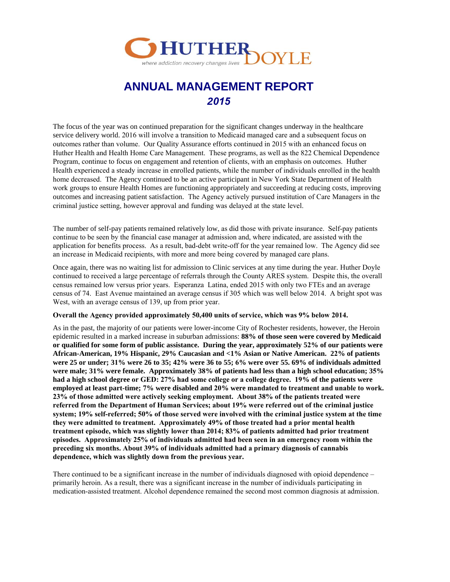

# **ANNUAL MANAGEMENT REPORT**  *2015*

The focus of the year was on continued preparation for the significant changes underway in the healthcare service delivery world. 2016 will involve a transition to Medicaid managed care and a subsequent focus on outcomes rather than volume. Our Quality Assurance efforts continued in 2015 with an enhanced focus on Huther Health and Health Home Care Management. These programs, as well as the 822 Chemical Dependence Program, continue to focus on engagement and retention of clients, with an emphasis on outcomes. Huther Health experienced a steady increase in enrolled patients, while the number of individuals enrolled in the health home decreased. The Agency continued to be an active participant in New York State Department of Health work groups to ensure Health Homes are functioning appropriately and succeeding at reducing costs, improving outcomes and increasing patient satisfaction. The Agency actively pursued institution of Care Managers in the criminal justice setting, however approval and funding was delayed at the state level.

The number of self-pay patients remained relatively low, as did those with private insurance. Self-pay patients continue to be seen by the financial case manager at admission and, where indicated, are assisted with the application for benefits process. As a result, bad-debt write-off for the year remained low. The Agency did see an increase in Medicaid recipients, with more and more being covered by managed care plans.

Once again, there was no waiting list for admission to Clinic services at any time during the year. Huther Doyle continued to received a large percentage of referrals through the County ARES system. Despite this, the overall census remained low versus prior years. Esperanza Latina, ended 2015 with only two FTEs and an average census of 74. East Avenue maintained an average census if 305 which was well below 2014. A bright spot was West, with an average census of 139, up from prior year.

#### **Overall the Agency provided approximately 50,400 units of service, which was 9% below 2014.**

As in the past, the majority of our patients were lower-income City of Rochester residents, however, the Heroin epidemic resulted in a marked increase in suburban admissions: **88% of those seen were covered by Medicaid or qualified for some form of public assistance. During the year, approximately 52% of our patients were African-American, 19% Hispanic, 29% Caucasian and <1% Asian or Native American. 22% of patients were 25 or under; 31% were 26 to 35; 42% were 36 to 55; 6% were over 55. 69% of individuals admitted were male; 31% were female. Approximately 38% of patients had less than a high school education; 35% had a high school degree or GED: 27% had some college or a college degree. 19% of the patients were employed at least part-time; 7% were disabled and 20% were mandated to treatment and unable to work. 23% of those admitted were actively seeking employment. About 38% of the patients treated were referred from the Department of Human Services; about 19% were referred out of the criminal justice system; 19% self-referred; 50% of those served were involved with the criminal justice system at the time they were admitted to treatment. Approximately 49% of those treated had a prior mental health treatment episode, which was slightly lower than 2014; 83% of patients admitted had prior treatment episodes. Approximately 25% of individuals admitted had been seen in an emergency room within the preceding six months. About 39% of individuals admitted had a primary diagnosis of cannabis dependence, which was slightly down from the previous year.** 

There continued to be a significant increase in the number of individuals diagnosed with opioid dependence – primarily heroin. As a result, there was a significant increase in the number of individuals participating in medication-assisted treatment. Alcohol dependence remained the second most common diagnosis at admission.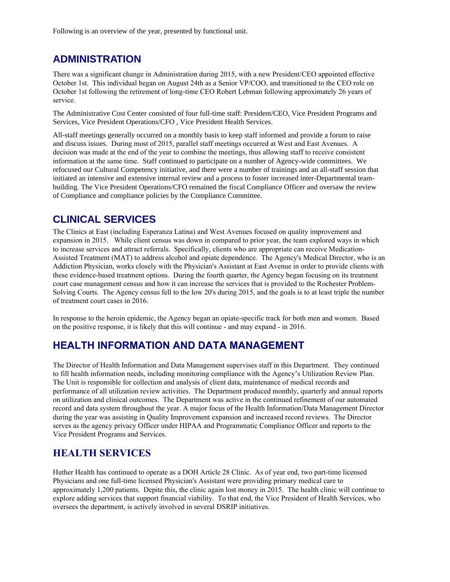Following is an overview of the year, presented by functional unit.

#### **ADMINISTRATION**

There was a significant change in Administration during 2015, with a new President/CEO appointed effective October 1st. This individual began on August 24th as a Senior VP/COO, and transitioned to the CEO role on October 1st following the retirement of long-time CEO Robert Lebman following approximately 26 years of service.

The Administrative Cost Center consisted of four full-time staff: President/CEO, Vice President Programs and Services, Vice President Operations/CFO , Vice President Health Services.

All-staff meetings generally occurred on a monthly basis to keep staff informed and provide a forum to raise and discuss issues. During most of 2015, parallel staff meetings occurred at West and East Avenues. A decision was made at the end of the year to combine the meetings, thus allowing staff to receive consistent information at the same time. Staff continued to participate on a number of Agency-wide committees. We refocused our Cultural Competency initiative, and there were a number of trainings and an all-staff session that initiated an intensive and extensive internal review and a process to foster increased inter-Departmental teambuilding. The Vice President Operations/CFO remained the fiscal Compliance Officer and oversaw the review of Compliance and compliance policies by the Compliance Committee.

## **CLINICAL SERVICES**

The Clinics at East (including Esperanza Latina) and West Avenues focused on quality improvement and expansion in 2015. While client census was down in compared to prior year, the team explored ways in which to increase services and attract referrals. Specifically, clients who are appropriate can receive Medication-Assisted Treatment (MAT) to address alcohol and opiate dependence. The Agency's Medical Director, who is an Addiction Physician, works closely with the Physician's Assistant at East Avenue in order to provide clients with these evidence-based treatment options. During the fourth quarter, the Agency began focusing on its treatment court case management census and how it can increase the services that is provided to the Rochester Problem-Solving Courts. The Agency census fell to the low 20's during 2015, and the goals is to at least triple the number of treatment court cases in 2016.

In response to the heroin epidemic, the Agency began an opiate-specific track for both men and women. Based on the positive response, it is likely that this will continue - and may expand - in 2016.

#### **HEALTH INFORMATION AND DATA MANAGEMENT**

The Director of Health Information and Data Management supervises staff in this Department. They continued to fill health information needs, including monitoring compliance with the Agency's Utilization Review Plan. The Unit is responsible for collection and analysis of client data, maintenance of medical records and performance of all utilization review activities. The Department produced monthly, quarterly and annual reports on utilization and clinical outcomes. The Department was active in the continued refinement of our automated record and data system throughout the year. A major focus of the Health Information/Data Management Director during the year was assisting in Quality Improvement expansion and increased record reviews. The Director serves as the agency privacy Officer under HIPAA and Programmatic Compliance Officer and reports to the Vice President Programs and Services.

#### **HEALTH SERVICES**

Huther Health has continued to operate as a DOH Article 28 Clinic. As of year end, two part-time licensed Physicians and one full-time licensed Physician's Assistant were providing primary medical care to approximately 1,200 patients. Depite this, the clinic again lost money in 2015. The health clinic will continue to explore adding services that support financial viability. To that end, the Vice President of Health Services, who oversees the department, is actively involved in several DSRIP initiatives.